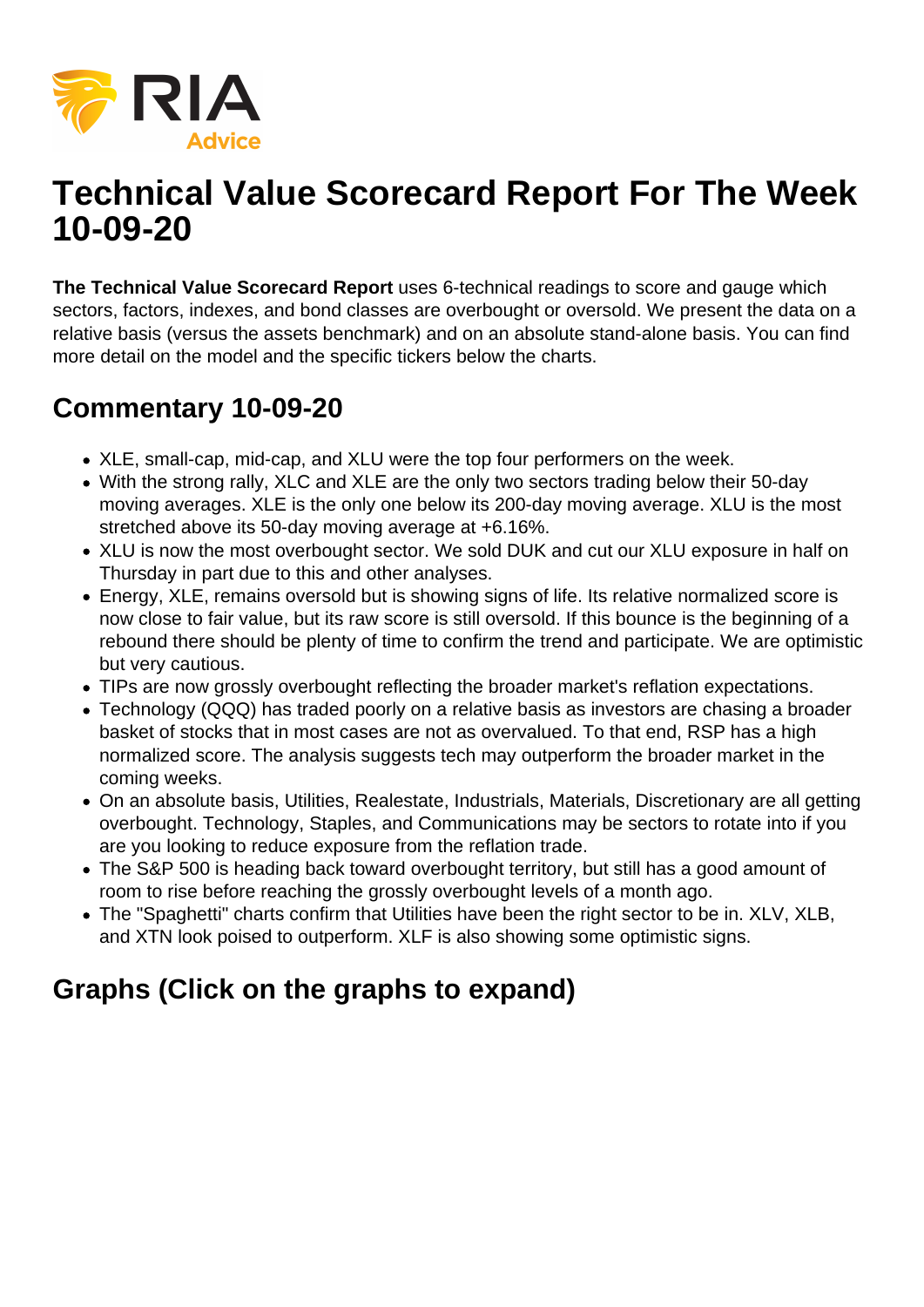

## **Technical Value Scorecard Report For The Week 10-09-20**

**The Technical Value Scorecard Report** uses 6-technical readings to score and gauge which sectors, factors, indexes, and bond classes are overbought or oversold. We present the data on a relative basis (versus the assets benchmark) and on an absolute stand-alone basis. You can find more detail on the model and the specific tickers below the charts.

## **Commentary 10-09-20**

- XLE, small-cap, mid-cap, and XLU were the top four performers on the week.
- With the strong rally, XLC and XLE are the only two sectors trading below their 50-day moving averages. XLE is the only one below its 200-day moving average. XLU is the most stretched above its 50-day moving average at +6.16%.
- XLU is now the most overbought sector. We sold DUK and cut our XLU exposure in half on Thursday in part due to this and other analyses.
- Energy, XLE, remains oversold but is showing signs of life. Its relative normalized score is now close to fair value, but its raw score is still oversold. If this bounce is the beginning of a rebound there should be plenty of time to confirm the trend and participate. We are optimistic but very cautious.
- TIPs are now grossly overbought reflecting the broader market's reflation expectations.
- Technology (QQQ) has traded poorly on a relative basis as investors are chasing a broader basket of stocks that in most cases are not as overvalued. To that end, RSP has a high normalized score. The analysis suggests tech may outperform the broader market in the coming weeks.
- On an absolute basis, Utilities, Realestate, Industrials, Materials, Discretionary are all getting overbought. Technology, Staples, and Communications may be sectors to rotate into if you are you looking to reduce exposure from the reflation trade.
- The S&P 500 is heading back toward overbought territory, but still has a good amount of room to rise before reaching the grossly overbought levels of a month ago.
- The "Spaghetti" charts confirm that Utilities have been the right sector to be in. XLV, XLB, and XTN look poised to outperform. XLF is also showing some optimistic signs.

## **Graphs (Click on the graphs to expand)**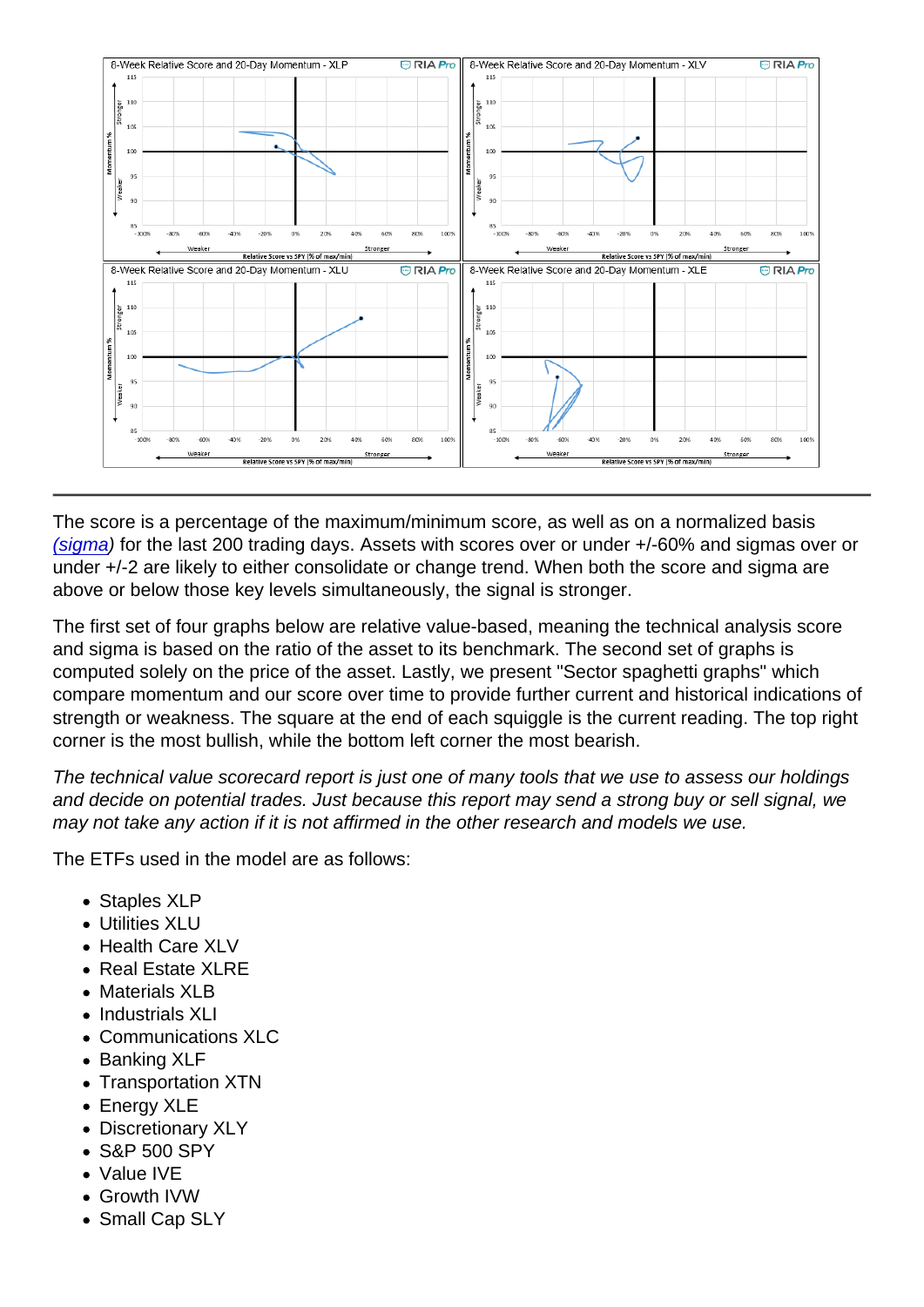The score is a percentage of the maximum/minimum score, as well as on a normalized basis [\(sigma](https://www.investopedia.com/terms/s/standarddeviation.asp)) for the last 200 trading days. Assets with scores over or under +/-60% and sigmas over or under +/-2 are likely to either consolidate or change trend. When both the score and sigma are above or below those key levels simultaneously, the signal is stronger.

The first set of four graphs below are relative value-based, meaning the technical analysis score and sigma is based on the ratio of the asset to its benchmark. The second set of graphs is computed solely on the price of the asset. Lastly, we present "Sector spaghetti graphs" which compare momentum and our score over time to provide further current and historical indications of strength or weakness. The square at the end of each squiggle is the current reading. The top right corner is the most bullish, while the bottom left corner the most bearish.

The technical value scorecard report is just one of many tools that we use to assess our holdings and decide on potential trades. Just because this report may send a strong buy or sell signal, we may not take any action if it is not affirmed in the other research and models we use.

The ETFs used in the model are as follows:

- Staples XLP
- Utilities XLU
- Health Care XLV
- Real Estate XLRE
- Materials XLB
- Industrials XLI
- Communications XLC
- Banking XLF
- Transportation XTN
- Energy XLE
- Discretionary XLY
- S&P 500 SPY
- Value IVE
- Growth IVW
- Small Cap SLY